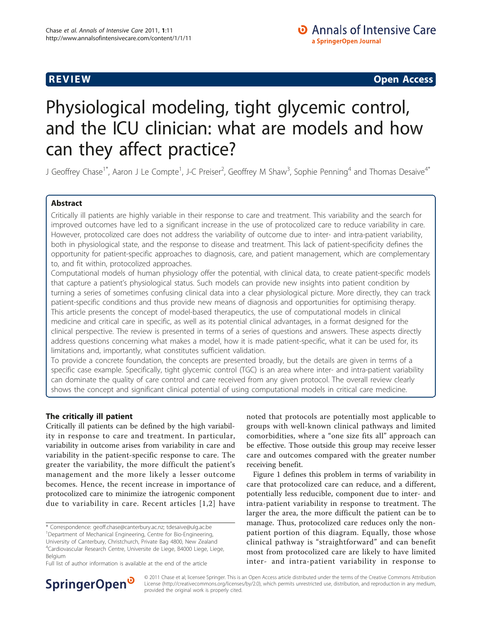**REVIEW CONSTRUCTION CONSTRUCTION CONSTRUCTS** 

# Physiological modeling, tight glycemic control, and the ICU clinician: what are models and how can they affect practice?

J Geoffrey Chase<sup>1\*</sup>, Aaron J Le Compte<sup>1</sup>, J-C Preiser<sup>2</sup>, Geoffrey M Shaw<sup>3</sup>, Sophie Penning<sup>4</sup> and Thomas Desaive<sup>4\*</sup>

# Abstract

Critically ill patients are highly variable in their response to care and treatment. This variability and the search for improved outcomes have led to a significant increase in the use of protocolized care to reduce variability in care. However, protocolized care does not address the variability of outcome due to inter- and intra-patient variability, both in physiological state, and the response to disease and treatment. This lack of patient-specificity defines the opportunity for patient-specific approaches to diagnosis, care, and patient management, which are complementary to, and fit within, protocolized approaches.

Computational models of human physiology offer the potential, with clinical data, to create patient-specific models that capture a patient's physiological status. Such models can provide new insights into patient condition by turning a series of sometimes confusing clinical data into a clear physiological picture. More directly, they can track patient-specific conditions and thus provide new means of diagnosis and opportunities for optimising therapy. This article presents the concept of model-based therapeutics, the use of computational models in clinical medicine and critical care in specific, as well as its potential clinical advantages, in a format designed for the clinical perspective. The review is presented in terms of a series of questions and answers. These aspects directly address questions concerning what makes a model, how it is made patient-specific, what it can be used for, its limitations and, importantly, what constitutes sufficient validation.

To provide a concrete foundation, the concepts are presented broadly, but the details are given in terms of a specific case example. Specifically, tight glycemic control (TGC) is an area where inter- and intra-patient variability can dominate the quality of care control and care received from any given protocol. The overall review clearly shows the concept and significant clinical potential of using computational models in critical care medicine.

#### The critically ill patient

Critically ill patients can be defined by the high variability in response to care and treatment. In particular, variability in outcome arises from variability in care and variability in the patient-specific response to care. The greater the variability, the more difficult the patient's management and the more likely a lesser outcome becomes. Hence, the recent increase in importance of protocolized care to minimize the iatrogenic component due to variability in care. Recent articles [[1](#page-5-0),[2](#page-5-0)] have

University of Canterbury, Christchurch, Private Bag 4800, New Zealand 4 Cardiovascular Research Centre, Universite de Liege, B4000 Liege, Liege,

noted that protocols are potentially most applicable to groups with well-known clinical pathways and limited comorbidities, where a "one size fits all" approach can be effective. Those outside this group may receive lesser care and outcomes compared with the greater number receiving benefit.

Figure [1](#page-1-0) defines this problem in terms of variability in care that protocolized care can reduce, and a different, potentially less reducible, component due to inter- and intra-patient variability in response to treatment. The larger the area, the more difficult the patient can be to manage. Thus, protocolized care reduces only the nonpatient portion of this diagram. Equally, those whose clinical pathway is "straightforward" and can benefit most from protocolized care are likely to have limited inter- and intra-patient variability in response to



© 2011 Chase et al; licensee Springer. This is an Open Access article distributed under the terms of the Creative Commons Attribution License [\(http://creativecommons.org/licenses/by/2.0](http://creativecommons.org/licenses/by/2.0)), which permits unrestricted use, distribution, and reproduction in any medium, provided the original work is properly cited.

<sup>\*</sup> Correspondence: [geoff.chase@canterbury.ac.nz](mailto:geoff.chase@canterbury.ac.nz); [tdesaive@ulg.ac.be](mailto:tdesaive@ulg.ac.be) <sup>1</sup>Department of Mechanical Engineering, Centre for Bio-Engineering,

Belgium

Full list of author information is available at the end of the article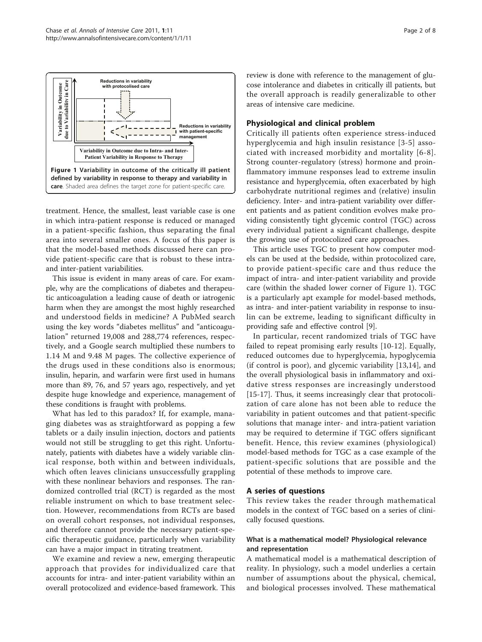

<span id="page-1-0"></span>

treatment. Hence, the smallest, least variable case is one in which intra-patient response is reduced or managed in a patient-specific fashion, thus separating the final area into several smaller ones. A focus of this paper is that the model-based methods discussed here can provide patient-specific care that is robust to these intraand inter-patient variabilities.

This issue is evident in many areas of care. For example, why are the complications of diabetes and therapeutic anticoagulation a leading cause of death or iatrogenic harm when they are amongst the most highly researched and understood fields in medicine? A PubMed search using the key words "diabetes mellitus" and "anticoagulation" returned 19,008 and 288,774 references, respectively, and a Google search multiplied these numbers to 1.14 M and 9.48 M pages. The collective experience of the drugs used in these conditions also is enormous; insulin, heparin, and warfarin were first used in humans more than 89, 76, and 57 years ago, respectively, and yet despite huge knowledge and experience, management of these conditions is fraught with problems.

What has led to this paradox? If, for example, managing diabetes was as straightforward as popping a few tablets or a daily insulin injection, doctors and patients would not still be struggling to get this right. Unfortunately, patients with diabetes have a widely variable clinical response, both within and between individuals, which often leaves clinicians unsuccessfully grappling with these nonlinear behaviors and responses. The randomized controlled trial (RCT) is regarded as the most reliable instrument on which to base treatment selection. However, recommendations from RCTs are based on overall cohort responses, not individual responses, and therefore cannot provide the necessary patient-specific therapeutic guidance, particularly when variability can have a major impact in titrating treatment.

We examine and review a new, emerging therapeutic approach that provides for individualized care that accounts for intra- and inter-patient variability within an overall protocolized and evidence-based framework. This review is done with reference to the management of glucose intolerance and diabetes in critically ill patients, but the overall approach is readily generalizable to other areas of intensive care medicine.

# Physiological and clinical problem

Critically ill patients often experience stress-induced hyperglycemia and high insulin resistance [[3-5\]](#page-5-0) associated with increased morbidity and mortality [[6-8\]](#page-5-0). Strong counter-regulatory (stress) hormone and proinflammatory immune responses lead to extreme insulin resistance and hyperglycemia, often exacerbated by high carbohydrate nutritional regimes and (relative) insulin deficiency. Inter- and intra-patient variability over different patients and as patient condition evolves make providing consistently tight glycemic control (TGC) across every individual patient a significant challenge, despite the growing use of protocolized care approaches.

This article uses TGC to present how computer models can be used at the bedside, within protocolized care, to provide patient-specific care and thus reduce the impact of intra- and inter-patient variability and provide care (within the shaded lower corner of Figure 1). TGC is a particularly apt example for model-based methods, as intra- and inter-patient variability in response to insulin can be extreme, leading to significant difficulty in providing safe and effective control [[9\]](#page-5-0).

In particular, recent randomized trials of TGC have failed to repeat promising early results [[10-12](#page-5-0)]. Equally, reduced outcomes due to hyperglycemia, hypoglycemia (if control is poor), and glycemic variability [[13,14\]](#page-5-0), and the overall physiological basis in inflammatory and oxidative stress responses are increasingly understood [[15-17](#page-5-0)]. Thus, it seems increasingly clear that protocolization of care alone has not been able to reduce the variability in patient outcomes and that patient-specific solutions that manage inter- and intra-patient variation may be required to determine if TGC offers significant benefit. Hence, this review examines (physiological) model-based methods for TGC as a case example of the patient-specific solutions that are possible and the potential of these methods to improve care.

# A series of questions

This review takes the reader through mathematical models in the context of TGC based on a series of clinically focused questions.

# What is a mathematical model? Physiological relevance and representation

A mathematical model is a mathematical description of reality. In physiology, such a model underlies a certain number of assumptions about the physical, chemical, and biological processes involved. These mathematical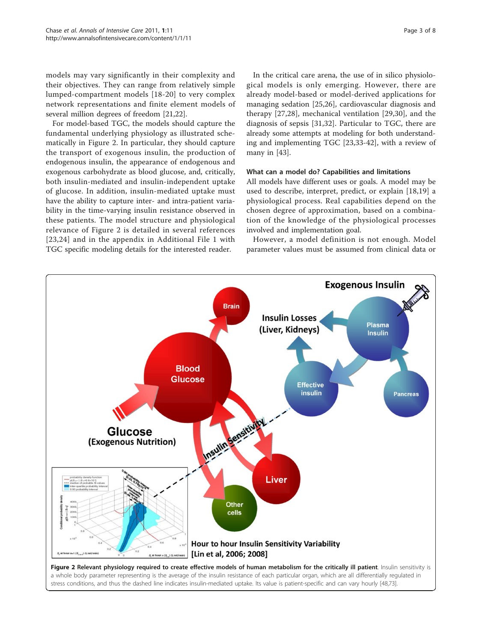<span id="page-2-0"></span>models may vary significantly in their complexity and their objectives. They can range from relatively simple lumped-compartment models [\[18-20\]](#page-5-0) to very complex network representations and finite element models of several million degrees of freedom [\[21,22](#page-5-0)].

For model-based TGC, the models should capture the fundamental underlying physiology as illustrated schematically in Figure 2. In particular, they should capture the transport of exogenous insulin, the production of endogenous insulin, the appearance of endogenous and exogenous carbohydrate as blood glucose, and, critically, both insulin-mediated and insulin-independent uptake of glucose. In addition, insulin-mediated uptake must have the ability to capture inter- and intra-patient variability in the time-varying insulin resistance observed in these patients. The model structure and physiological relevance of Figure 2 is detailed in several references [[23,](#page-5-0)[24](#page-6-0)] and in the appendix in Additional File [1](#page-5-0) with TGC specific modeling details for the interested reader.

In the critical care arena, the use of in silico physiological models is only emerging. However, there are already model-based or model-derived applications for managing sedation [\[25,26](#page-6-0)], cardiovascular diagnosis and therapy [[27,28\]](#page-6-0), mechanical ventilation [[29,30\]](#page-6-0), and the diagnosis of sepsis [\[31](#page-6-0),[32\]](#page-6-0). Particular to TGC, there are already some attempts at modeling for both understanding and implementing TGC [\[23](#page-5-0)[,33](#page-6-0)-[42\]](#page-6-0), with a review of many in [[43](#page-6-0)].

#### What can a model do? Capabilities and limitations

All models have different uses or goals. A model may be used to describe, interpret, predict, or explain [\[18](#page-5-0),[19\]](#page-5-0) a physiological process. Real capabilities depend on the chosen degree of approximation, based on a combination of the knowledge of the physiological processes involved and implementation goal.

However, a model definition is not enough. Model parameter values must be assumed from clinical data or

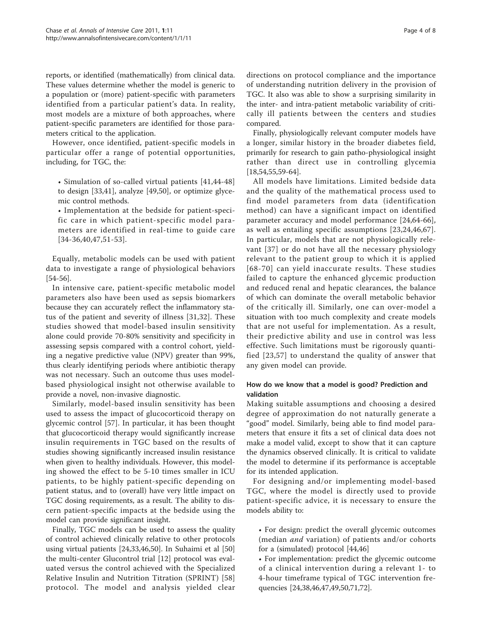reports, or identified (mathematically) from clinical data. These values determine whether the model is generic to a population or (more) patient-specific with parameters identified from a particular patient's data. In reality, most models are a mixture of both approaches, where patient-specific parameters are identified for those parameters critical to the application.

However, once identified, patient-specific models in particular offer a range of potential opportunities, including, for TGC, the:

• Simulation of so-called virtual patients [[41](#page-6-0),[44-48](#page-6-0)] to design [\[33,41](#page-6-0)], analyze [[49,50\]](#page-6-0), or optimize glycemic control methods.

• Implementation at the bedside for patient-specific care in which patient-specific model parameters are identified in real-time to guide care [[34](#page-6-0)-[36](#page-6-0),[40,47,51](#page-6-0)-[53](#page-6-0)].

Equally, metabolic models can be used with patient data to investigate a range of physiological behaviors [[54-56\]](#page-6-0).

In intensive care, patient-specific metabolic model parameters also have been used as sepsis biomarkers because they can accurately reflect the inflammatory status of the patient and severity of illness [[31,32](#page-6-0)]. These studies showed that model-based insulin sensitivity alone could provide 70-80% sensitivity and specificity in assessing sepsis compared with a control cohort, yielding a negative predictive value (NPV) greater than 99%, thus clearly identifying periods where antibiotic therapy was not necessary. Such an outcome thus uses modelbased physiological insight not otherwise available to provide a novel, non-invasive diagnostic.

Similarly, model-based insulin sensitivity has been used to assess the impact of glucocorticoid therapy on glycemic control [[57](#page-6-0)]. In particular, it has been thought that glucocorticoid therapy would significantly increase insulin requirements in TGC based on the results of studies showing significantly increased insulin resistance when given to healthy individuals. However, this modeling showed the effect to be 5-10 times smaller in ICU patients, to be highly patient-specific depending on patient status, and to (overall) have very little impact on TGC dosing requirements, as a result. The ability to discern patient-specific impacts at the bedside using the model can provide significant insight.

Finally, TGC models can be used to assess the quality of control achieved clinically relative to other protocols using virtual patients [\[24,33,46,50\]](#page-6-0). In Suhaimi et al [[50](#page-6-0)] the multi-center Glucontrol trial [\[12](#page-5-0)] protocol was evaluated versus the control achieved with the Specialized Relative Insulin and Nutrition Titration (SPRINT) [\[58](#page-6-0)] protocol. The model and analysis yielded clear directions on protocol compliance and the importance of understanding nutrition delivery in the provision of TGC. It also was able to show a surprising similarity in the inter- and intra-patient metabolic variability of critically ill patients between the centers and studies compared.

Finally, physiologically relevant computer models have a longer, similar history in the broader diabetes field, primarily for research to gain patho-physiological insight rather than direct use in controlling glycemia [[18,](#page-5-0)[54,55](#page-6-0),[59](#page-6-0)-[64\]](#page-7-0).

All models have limitations. Limited bedside data and the quality of the mathematical process used to find model parameters from data (identification method) can have a significant impact on identified parameter accuracy and model performance [\[24](#page-6-0),[64-66](#page-7-0)], as well as entailing specific assumptions [[23](#page-5-0),[24,46](#page-6-0),[67](#page-7-0)]. In particular, models that are not physiologically relevant [\[37\]](#page-6-0) or do not have all the necessary physiology relevant to the patient group to which it is applied [[68](#page-7-0)-[70](#page-7-0)] can yield inaccurate results. These studies failed to capture the enhanced glycemic production and reduced renal and hepatic clearances, the balance of which can dominate the overall metabolic behavior of the critically ill. Similarly, one can over-model a situation with too much complexity and create models that are not useful for implementation. As a result, their predictive ability and use in control was less effective. Such limitations must be rigorously quantified [[23,](#page-5-0)[57\]](#page-6-0) to understand the quality of answer that any given model can provide.

# How do we know that a model is good? Prediction and validation

Making suitable assumptions and choosing a desired degree of approximation do not naturally generate a "good" model. Similarly, being able to find model parameters that ensure it fits a set of clinical data does not make a model valid, except to show that it can capture the dynamics observed clinically. It is critical to validate the model to determine if its performance is acceptable for its intended application.

For designing and/or implementing model-based TGC, where the model is directly used to provide patient-specific advice, it is necessary to ensure the models ability to:

• For design: predict the overall glycemic outcomes (median and variation) of patients and/or cohorts for a (simulated) protocol [[44](#page-6-0),[46](#page-6-0)]

• For implementation: predict the glycemic outcome of a clinical intervention during a relevant 1- to 4-hour timeframe typical of TGC intervention frequencies [\[24,38,46,47,49,50,](#page-6-0)[71](#page-7-0),[72](#page-7-0)].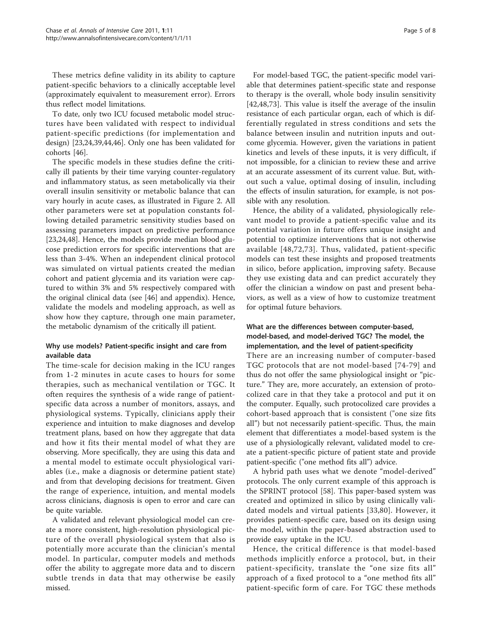These metrics define validity in its ability to capture patient-specific behaviors to a clinically acceptable level (approximately equivalent to measurement error). Errors thus reflect model limitations.

To date, only two ICU focused metabolic model structures have been validated with respect to individual patient-specific predictions (for implementation and design) [\[23](#page-5-0)[,24,39,44,46\]](#page-6-0). Only one has been validated for cohorts [\[46](#page-6-0)].

The specific models in these studies define the critically ill patients by their time varying counter-regulatory and inflammatory status, as seen metabolically via their overall insulin sensitivity or metabolic balance that can vary hourly in acute cases, as illustrated in Figure [2.](#page-2-0) All other parameters were set at population constants following detailed parametric sensitivity studies based on assessing parameters impact on predictive performance [[23,](#page-5-0)[24,48](#page-6-0)]. Hence, the models provide median blood glucose prediction errors for specific interventions that are less than 3-4%. When an independent clinical protocol was simulated on virtual patients created the median cohort and patient glycemia and its variation were captured to within 3% and 5% respectively compared with the original clinical data (see [[46\]](#page-6-0) and appendix). Hence, validate the models and modeling approach, as well as show how they capture, through one main parameter, the metabolic dynamism of the critically ill patient.

# Why use models? Patient-specific insight and care from available data

The time-scale for decision making in the ICU ranges from 1-2 minutes in acute cases to hours for some therapies, such as mechanical ventilation or TGC. It often requires the synthesis of a wide range of patientspecific data across a number of monitors, assays, and physiological systems. Typically, clinicians apply their experience and intuition to make diagnoses and develop treatment plans, based on how they aggregate that data and how it fits their mental model of what they are observing. More specifically, they are using this data and a mental model to estimate occult physiological variables (i.e., make a diagnosis or determine patient state) and from that developing decisions for treatment. Given the range of experience, intuition, and mental models across clinicians, diagnosis is open to error and care can be quite variable.

A validated and relevant physiological model can create a more consistent, high-resolution physiological picture of the overall physiological system that also is potentially more accurate than the clinician's mental model. In particular, computer models and methods offer the ability to aggregate more data and to discern subtle trends in data that may otherwise be easily missed.

For model-based TGC, the patient-specific model variable that determines patient-specific state and response to therapy is the overall, whole body insulin sensitivity [[42,48](#page-6-0)[,73](#page-7-0)]. This value is itself the average of the insulin resistance of each particular organ, each of which is differentially regulated in stress conditions and sets the balance between insulin and nutrition inputs and outcome glycemia. However, given the variations in patient kinetics and levels of these inputs, it is very difficult, if not impossible, for a clinician to review these and arrive at an accurate assessment of its current value. But, without such a value, optimal dosing of insulin, including the effects of insulin saturation, for example, is not possible with any resolution.

Hence, the ability of a validated, physiologically relevant model to provide a patient-specific value and its potential variation in future offers unique insight and potential to optimize interventions that is not otherwise available [[48,](#page-6-0)[72,73\]](#page-7-0). Thus, validated, patient-specific models can test these insights and proposed treatments in silico, before application, improving safety. Because they use existing data and can predict accurately they offer the clinician a window on past and present behaviors, as well as a view of how to customize treatment for optimal future behaviors.

# What are the differences between computer-based, model-based, and model-derived TGC? The model, the implementation, and the level of patient-specificity

There are an increasing number of computer-based TGC protocols that are not model-based [\[74-79](#page-7-0)] and thus do not offer the same physiological insight or "picture." They are, more accurately, an extension of protocolized care in that they take a protocol and put it on the computer. Equally, such protocolized care provides a cohort-based approach that is consistent ("one size fits all") but not necessarily patient-specific. Thus, the main element that differentiates a model-based system is the use of a physiologically relevant, validated model to create a patient-specific picture of patient state and provide patient-specific ("one method fits all") advice.

A hybrid path uses what we denote "model-derived" protocols. The only current example of this approach is the SPRINT protocol [\[58](#page-6-0)]. This paper-based system was created and optimized in silico by using clinically validated models and virtual patients [[33](#page-6-0)[,80\]](#page-7-0). However, it provides patient-specific care, based on its design using the model, within the paper-based abstraction used to provide easy uptake in the ICU.

Hence, the critical difference is that model-based methods implicitly enforce a protocol, but, in their patient-specificity, translate the "one size fits all" approach of a fixed protocol to a "one method fits all" patient-specific form of care. For TGC these methods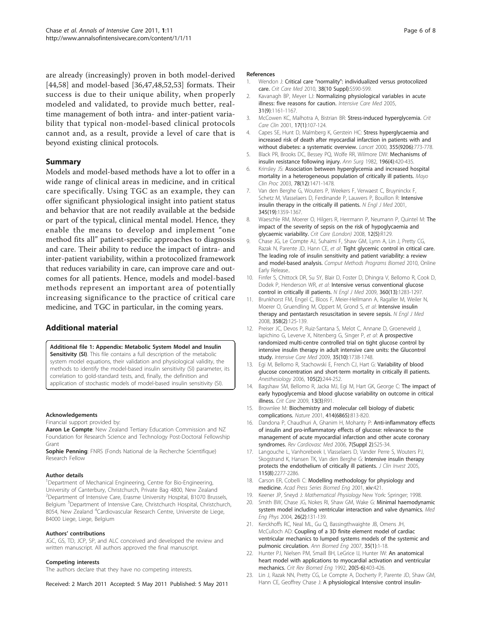<span id="page-5-0"></span>are already (increasingly) proven in both model-derived [[44,58\]](#page-6-0) and model-based [\[36,47,48,52,53](#page-6-0)] formats. Their success is due to their unique ability, when properly modeled and validated, to provide much better, realtime management of both intra- and inter-patient variability that typical non-model-based clinical protocols cannot and, as a result, provide a level of care that is beyond existing clinical protocols.

#### Summary

Models and model-based methods have a lot to offer in a wide range of clinical areas in medicine, and in critical care specifically. Using TGC as an example, they can offer significant physiological insight into patient status and behavior that are not readily available at the bedside or part of the typical, clinical mental model. Hence, they enable the means to develop and implement "one method fits all" patient-specific approaches to diagnosis and care. Their ability to reduce the impact of intra- and inter-patient variability, within a protocolized framework that reduces variability in care, can improve care and outcomes for all patients. Hence, models and model-based methods represent an important area of potentially increasing significance to the practice of critical care medicine, and TGC in particular, in the coming years.

# Additional material

[Additional file 1: A](http://www.biomedcentral.com/content/supplementary/2110-5820-1-11-S1.DOC)ppendix: Metabolic System Model and Insulin Sensitivity (SI). This file contains a full description of the metabolic system model equations, their validation and physiological validity, the methods to identify the model-based insulin sensitivity (SI) parameter, its correlation to gold-standard tests, and, finally, the definition and application of stochastic models of model-based insulin sensitivity (SI).

#### Acknowledgements

Financial support provided by:

Aaron Le Compte: New Zealand Tertiary Education Commission and NZ Foundation for Research Science and Technology Post-Doctoral Fellowship Grant

Sophie Penning: FNRS (Fonds National de la Recherche Scientifique) Research Fellow

#### Author details

<sup>1</sup>Department of Mechanical Engineering, Centre for Bio-Engineering, University of Canterbury, Christchurch, Private Bag 4800, New Zealand <sup>2</sup> Department of Intensive Care, Erasme University Hospital, B1070 Brussels, Belgium <sup>3</sup>Department of Intensive Care, Christchurch Hospital, Christchurch, 8054, New Zealand <sup>4</sup>Cardiovascular Research Centre, Universite de Liege, B4000 Liege, Liege, Belgium

#### Authors' contributions

JGC, GS, TD, JCP, SP, and ALC conceived and developed the review and written manuscript. All authors approved the final manuscript.

#### Competing interests

The authors declare that they have no competing interests.

Received: 2 March 2011 Accepted: 5 May 2011 Published: 5 May 2011

#### References

- 1. Wendon J: Critical care "[normality": individualized versus protocolized](http://www.ncbi.nlm.nih.gov/pubmed/21164402?dopt=Abstract) [care.](http://www.ncbi.nlm.nih.gov/pubmed/21164402?dopt=Abstract) Crit Care Med 2010, 38(10 Suppl):S590-599.
- 2. Kavanagh BP, Meyer LJ: [Normalizing physiological variables in acute](http://www.ncbi.nlm.nih.gov/pubmed/16044251?dopt=Abstract) [illness: five reasons for caution.](http://www.ncbi.nlm.nih.gov/pubmed/16044251?dopt=Abstract) Intensive Care Med 2005, 31(9):1161-1167.
- 3. McCowen KC, Malhotra A, Bistrian BR: [Stress-induced hyperglycemia.](http://www.ncbi.nlm.nih.gov/pubmed/11219223?dopt=Abstract) Crit Care Clin 2001, 17(1):107-124.
- 4. Capes SE, Hunt D, Malmberg K, Gerstein HC: [Stress hyperglycaemia and](http://www.ncbi.nlm.nih.gov/pubmed/10711923?dopt=Abstract) [increased risk of death after myocardial infarction in patients with and](http://www.ncbi.nlm.nih.gov/pubmed/10711923?dopt=Abstract) [without diabetes: a systematic overview.](http://www.ncbi.nlm.nih.gov/pubmed/10711923?dopt=Abstract) Lancet 2000, 355(9206):773-778.
- 5. Black PR, Brooks DC, Bessey PQ, Wolfe RR, Wilmore DW: [Mechanisms of](http://www.ncbi.nlm.nih.gov/pubmed/6751244?dopt=Abstract) [insulin resistance following injury.](http://www.ncbi.nlm.nih.gov/pubmed/6751244?dopt=Abstract) Ann Surg 1982, 196(4):420-435.
- 6. Krinsley JS: [Association between hyperglycemia and increased hospital](http://www.ncbi.nlm.nih.gov/pubmed/14661676?dopt=Abstract) [mortality in a heterogeneous population of critically ill patients.](http://www.ncbi.nlm.nih.gov/pubmed/14661676?dopt=Abstract) Mayo Clin Proc 2003, 78(12):1471-1478.
- 7. Van den Berghe G, Wouters P, Weekers F, Verwaest C, Bruyninckx F, Schetz M, Vlasselaers D, Ferdinande P, Lauwers P, Bouillon R: [Intensive](http://www.ncbi.nlm.nih.gov/pubmed/11794168?dopt=Abstract) [insulin therapy in the critically ill patients.](http://www.ncbi.nlm.nih.gov/pubmed/11794168?dopt=Abstract) N Engl J Med 2001, 345(19):1359-1367.
- 8. Waeschle RM, Moerer O, Hilgers R, Herrmann P, Neumann P, Quintel M: The impact of the severity of sepsis on the risk of hypoglycaemia and glycaemic variability. Crit Care (London) 2008, 12(5):R129.
- 9. Chase JG, Le Compte AJ, Suhaimi F, Shaw GM, Lynn A, Lin J, Pretty CG, Razak N, Parente JD, Hann CE, et al: Tight glycemic control in critical care. The leading role of insulin sensitivity and patient variability: a review and model-based analysis. Comput Methods Programs Biomed 2010, Online Early Release..
- 10. Finfer S, Chittock DR, Su SY, Blair D, Foster D, Dhingra V, Bellomo R, Cook D, Dodek P, Henderson WR, et al: [Intensive versus conventional glucose](http://www.ncbi.nlm.nih.gov/pubmed/19318384?dopt=Abstract) [control in critically ill patients.](http://www.ncbi.nlm.nih.gov/pubmed/19318384?dopt=Abstract) N Engl J Med 2009, 360(13):1283-1297.
- 11. Brunkhorst FM, Engel C, Bloos F, Meier-Hellmann A, Ragaller M, Weiler N, Moerer O, Gruendling M, Oppert M, Grond S, et al: [Intensive insulin](http://www.ncbi.nlm.nih.gov/pubmed/18184958?dopt=Abstract) [therapy and pentastarch resuscitation in severe sepsis.](http://www.ncbi.nlm.nih.gov/pubmed/18184958?dopt=Abstract) N Engl J Med 2008, 358(2):125-139.
- 12. Preiser JC, Devos P, Ruiz-Santana S, Melot C, Annane D, Groeneveld J, Iapichino G, Leverve X, Nitenberg G, Singer P, et al: [A prospective](http://www.ncbi.nlm.nih.gov/pubmed/19636533?dopt=Abstract) [randomized multi-centre controlled trial on tight glucose control by](http://www.ncbi.nlm.nih.gov/pubmed/19636533?dopt=Abstract) [intensive insulin therapy in adult intensive care units: the Glucontrol](http://www.ncbi.nlm.nih.gov/pubmed/19636533?dopt=Abstract) [study.](http://www.ncbi.nlm.nih.gov/pubmed/19636533?dopt=Abstract) Intensive Care Med 2009, 35(10):1738-1748.
- 13. Egi M, Bellomo R, Stachowski E, French CJ, Hart G: [Variability of blood](http://www.ncbi.nlm.nih.gov/pubmed/16871057?dopt=Abstract) glucose [concentration and short-term mortality in critically ill patients.](http://www.ncbi.nlm.nih.gov/pubmed/16871057?dopt=Abstract) Anesthesiology 2006, 105(2):244-252.
- 14. Bagshaw SM, Bellomo R, Jacka MJ, Egi M, Hart GK, George C: [The impact of](http://www.ncbi.nlm.nih.gov/pubmed/19534781?dopt=Abstract) [early hypoglycemia and blood glucose variability on outcome in critical](http://www.ncbi.nlm.nih.gov/pubmed/19534781?dopt=Abstract) [illness.](http://www.ncbi.nlm.nih.gov/pubmed/19534781?dopt=Abstract) Crit Care 2009, 13(3):R91.
- 15. Brownlee M: [Biochemistry and molecular cell biology of diabetic](http://www.ncbi.nlm.nih.gov/pubmed/11742414?dopt=Abstract) [complications.](http://www.ncbi.nlm.nih.gov/pubmed/11742414?dopt=Abstract) Nature 2001, 414(6865):813-820.
- 16. Dandona P, Chaudhuri A, Ghanim H, Mohanty P: [Anti-inflammatory effects](http://www.ncbi.nlm.nih.gov/pubmed/17224874?dopt=Abstract) [of insulin and pro-inflammatory effects of glucose: relevance to the](http://www.ncbi.nlm.nih.gov/pubmed/17224874?dopt=Abstract) [management of acute myocardial infarction and other acute coronary](http://www.ncbi.nlm.nih.gov/pubmed/17224874?dopt=Abstract) [syndromes.](http://www.ncbi.nlm.nih.gov/pubmed/17224874?dopt=Abstract) Rev Cardiovasc Med 2006, 7(Suppl 2):S25-34.
- 17. Langouche L, Vanhorebeek I, Vlasselaers D, Vander Perre S, Wouters PJ, Skogstrand K, Hansen TK, Van den Berghe G: [Intensive insulin therapy](http://www.ncbi.nlm.nih.gov/pubmed/16075063?dopt=Abstract) [protects the endothelium of critically ill patients.](http://www.ncbi.nlm.nih.gov/pubmed/16075063?dopt=Abstract) J Clin Invest 2005, 115(8):2277-2286.
- 18. Carson ER, Cobelli C: Modelling methodology for physiology and medicine. Acad Press Series Biomed Eng 2001, xiv:421.
- 19. Keener JP, Sneyd J: Mathematical Physiology New York: Springer; 1998.
- 20. Smith BW, Chase JG, Nokes RI, Shaw GM, Wake G: [Minimal haemodynamic](http://www.ncbi.nlm.nih.gov/pubmed/15036180?dopt=Abstract) [system model including ventricular interaction and valve dynamics.](http://www.ncbi.nlm.nih.gov/pubmed/15036180?dopt=Abstract) Med Eng Phys 2004, 26(2):131-139.
- 21. Kerckhoffs RC, Neal ML, Gu Q, Bassingthwaighte JB, Omens JH, McCulloch AD: [Coupling of a 3D finite element model of cardiac](http://www.ncbi.nlm.nih.gov/pubmed/17111210?dopt=Abstract) [ventricular mechanics to lumped systems models of the systemic and](http://www.ncbi.nlm.nih.gov/pubmed/17111210?dopt=Abstract) [pulmonic circulation.](http://www.ncbi.nlm.nih.gov/pubmed/17111210?dopt=Abstract) Ann Biomed Eng 2007, 35(1):1-18.
- 22. Hunter PJ, Nielsen PM, Smaill BH, LeGrice IJ, Hunter IW: [An anatomical](http://www.ncbi.nlm.nih.gov/pubmed/1486783?dopt=Abstract) [heart model with applications to myocardial activation and ventricular](http://www.ncbi.nlm.nih.gov/pubmed/1486783?dopt=Abstract) [mechanics.](http://www.ncbi.nlm.nih.gov/pubmed/1486783?dopt=Abstract) Crit Rev Biomed Eng 1992, 20(5-6):403-426.
- 23. Lin J, Razak NN, Pretty CG, Le Compte A, Docherty P, Parente JD, Shaw GM, Hann CE, Geoffrey Chase J: A physiological Intensive control insulin-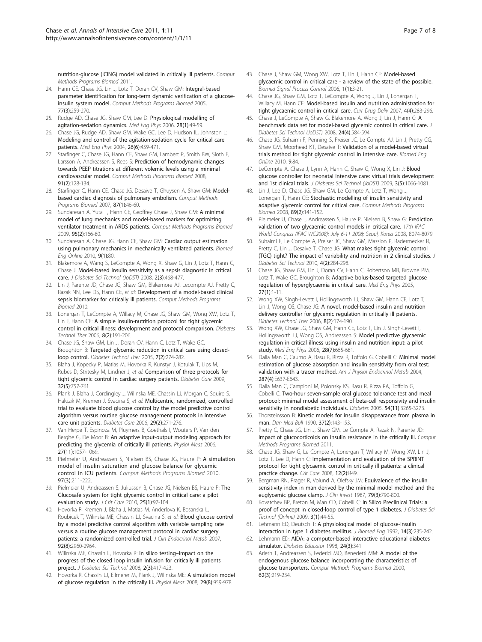<span id="page-6-0"></span>nutrition-glucose (ICING) model validated in critically ill patients. Comput Methods Programs Biomed 2011.

- 24. Hann CE, Chase JG, Lin J, Lotz T, Doran CV, Shaw GM: [Integral-based](http://www.ncbi.nlm.nih.gov/pubmed/15721654?dopt=Abstract) [parameter identification for long-term dynamic verification of a glucose](http://www.ncbi.nlm.nih.gov/pubmed/15721654?dopt=Abstract)[insulin system model.](http://www.ncbi.nlm.nih.gov/pubmed/15721654?dopt=Abstract) Comput Methods Programs Biomed 2005, 77(3):259-270.
- 25. Rudge AD, Chase JG, Shaw GM, Lee D: [Physiological modelling of](http://www.ncbi.nlm.nih.gov/pubmed/15869894?dopt=Abstract) [agitation-sedation dynamics.](http://www.ncbi.nlm.nih.gov/pubmed/15869894?dopt=Abstract) Med Eng Phys 2006, 28(1):49-59.
- 26. Chase JG, Rudge AD, Shaw GM, Wake GC, Lee D, Hudson IL, Johnston L: [Modeling and control of the agitation-sedation cycle for critical care](http://www.ncbi.nlm.nih.gov/pubmed/15234682?dopt=Abstract) [patients.](http://www.ncbi.nlm.nih.gov/pubmed/15234682?dopt=Abstract) Med Eng Phys 2004, 26(6):459-471.
- 27. Starfinger C, Chase JG, Hann CE, Shaw GM, Lambert P, Smith BW, Sloth E, Larsson A, Andreassen S, Rees S: [Prediction of hemodynamic changes](http://www.ncbi.nlm.nih.gov/pubmed/18472180?dopt=Abstract) [towards PEEP titrations at different volemic levels using a minimal](http://www.ncbi.nlm.nih.gov/pubmed/18472180?dopt=Abstract) [cardiovascular model.](http://www.ncbi.nlm.nih.gov/pubmed/18472180?dopt=Abstract) Comput Methods Programs Biomed 2008, 91(2):128-134.
- 28. Starfinger C, Hann CE, Chase JG, Desaive T, Ghuysen A, Shaw GM: [Model](http://www.ncbi.nlm.nih.gov/pubmed/17478006?dopt=Abstract)[based cardiac diagnosis of pulmonary embolism.](http://www.ncbi.nlm.nih.gov/pubmed/17478006?dopt=Abstract) Comput Methods Programs Biomed 2007, 87(1):46-60.
- 29. Sundaresan A, Yuta T, Hann CE, Geoffrey Chase J, Shaw GM: [A minimal](http://www.ncbi.nlm.nih.gov/pubmed/19327863?dopt=Abstract) [model of lung mechanics and model-based markers for optimizing](http://www.ncbi.nlm.nih.gov/pubmed/19327863?dopt=Abstract) [ventilator treatment in ARDS patients.](http://www.ncbi.nlm.nih.gov/pubmed/19327863?dopt=Abstract) Comput Methods Programs Biomed 2009, 95(2):166-80.
- 30. Sundaresan A, Chase JG, Hann CE, Shaw GM: [Cardiac output estimation](http://www.ncbi.nlm.nih.gov/pubmed/21108836?dopt=Abstract) [using pulmonary mechanics in mechanically ventilated patients.](http://www.ncbi.nlm.nih.gov/pubmed/21108836?dopt=Abstract) Biomed Eng Online 2010, 9(1):80.
- 31. Blakemore A, Wang S, LeCompte A, Wong X, Shaw G, Lin J, Lotz T, Hann C, Chase J: Model-based insulin sensitivity as a sepsis diagnostic in critical care. J Diabetes Sci Technol (JoDST) 2008, 2(3):468-477.
- 32. Lin J, Parente JD, Chase JG, Shaw GM, Blakemore AJ, Lecompte AJ, Pretty C, Razak NN, Lee DS, Hann CE, et al: Development of a model-based clinical sepsis biomarker for critically ill patients. Comput Methods Programs Biomed 2010.
- 33. Lonergan T, LeCompte A, Willacy M, Chase JG, Shaw GM, Wong XW, Lotz T, Lin J, Hann CE: [A simple insulin-nutrition protocol for tight glycemic](http://www.ncbi.nlm.nih.gov/pubmed/16734549?dopt=Abstract) [control in critical illness: development and protocol comparison.](http://www.ncbi.nlm.nih.gov/pubmed/16734549?dopt=Abstract) Diabetes Technol Ther 2006, 8(2):191-206.
- 34. Chase JG, Shaw GM, Lin J, Doran CV, Hann C, Lotz T, Wake GC, Broughton B: [Targeted glycemic reduction in critical care using closed](http://www.ncbi.nlm.nih.gov/pubmed/15857229?dopt=Abstract)[loop control.](http://www.ncbi.nlm.nih.gov/pubmed/15857229?dopt=Abstract) Diabetes Technol Ther 2005, 7(2):274-282.
- 35. Blaha J, Kopecky P, Matias M, Hovorka R, Kunstyr J, Kotulak T, Lips M, Rubes D, Stritesky M, Lindner J, et al: [Comparison of three protocols for](http://www.ncbi.nlm.nih.gov/pubmed/19196894?dopt=Abstract) [tight glycemic control in cardiac surgery patients.](http://www.ncbi.nlm.nih.gov/pubmed/19196894?dopt=Abstract) Diabetes Care 2009, 32(5):757-761.
- 36. Plank J, Blaha J, Cordingley J, Wilinska ME, Chassin LJ, Morgan C, Squire S, Haluzik M, Kremen J, Svacina S, et al: Multicentric, [randomized, controlled](http://www.ncbi.nlm.nih.gov/pubmed/16443872?dopt=Abstract) [trial to evaluate blood glucose control by the model predictive control](http://www.ncbi.nlm.nih.gov/pubmed/16443872?dopt=Abstract) [algorithm versus routine glucose management protocols in intensive](http://www.ncbi.nlm.nih.gov/pubmed/16443872?dopt=Abstract) [care unit patients.](http://www.ncbi.nlm.nih.gov/pubmed/16443872?dopt=Abstract) Diabetes Care 2006, 29(2):271-276.
- 37. Van Herpe T, Espinoza M, Pluymers B, Goethals I, Wouters P, Van den Berghe G, De Moor B: [An adaptive input-output modeling approach for](http://www.ncbi.nlm.nih.gov/pubmed/17028401?dopt=Abstract) [predicting the glycemia of critically ill patients.](http://www.ncbi.nlm.nih.gov/pubmed/17028401?dopt=Abstract) Physiol Meas 2006, 27(11):1057-1069.
- 38. Pielmeier U, Andreassen S, Nielsen BS, Chase JG, Haure P: [A simulation](http://www.ncbi.nlm.nih.gov/pubmed/19632735?dopt=Abstract) [model of insulin saturation and glucose balance for glycemic](http://www.ncbi.nlm.nih.gov/pubmed/19632735?dopt=Abstract) [control in ICU patients.](http://www.ncbi.nlm.nih.gov/pubmed/19632735?dopt=Abstract) Comput Methods Programs Biomed 2010, 97(3):211-222.
- 39. Pielmeier U, Andreassen S, Juliussen B, Chase JG, Nielsen BS, Haure P: [The](http://www.ncbi.nlm.nih.gov/pubmed/19926251?dopt=Abstract) [Glucosafe system for tight glycemic control in critical care: a pilot](http://www.ncbi.nlm.nih.gov/pubmed/19926251?dopt=Abstract) [evaluation study.](http://www.ncbi.nlm.nih.gov/pubmed/19926251?dopt=Abstract) J Crit Care 2010, 25(1):97-104.
- 40. Hovorka R, Kremen J, Blaha J, Matias M, Anderlova K, Bosanska L, Roubicek T, Wilinska ME, Chassin LJ, Svacina S, et al: [Blood glucose control](http://www.ncbi.nlm.nih.gov/pubmed/17550955?dopt=Abstract) [by a model predictive control algorithm with variable sampling rate](http://www.ncbi.nlm.nih.gov/pubmed/17550955?dopt=Abstract) [versus a routine glucose management protocol in cardiac surgery](http://www.ncbi.nlm.nih.gov/pubmed/17550955?dopt=Abstract) [patients: a randomized controlled trial.](http://www.ncbi.nlm.nih.gov/pubmed/17550955?dopt=Abstract) J Clin Endocrinol Metab 2007, 92(8):2960-2964.
- 41. Wilinska ME, Chassin L, Hovorka R: [In silico testing](http://www.ncbi.nlm.nih.gov/pubmed/19885206?dopt=Abstract)-impact on the [progress of the closed loop insulin infusion for critically ill patients](http://www.ncbi.nlm.nih.gov/pubmed/19885206?dopt=Abstract) [project.](http://www.ncbi.nlm.nih.gov/pubmed/19885206?dopt=Abstract) J Diabetes Sci Technol 2008, 2(3):417-423.
- 42. Hovorka R, Chassin LJ, Ellmerer M, Plank J, Wilinska ME: [A simulation model](http://www.ncbi.nlm.nih.gov/pubmed/18641427?dopt=Abstract) [of glucose regulation in the critically ill.](http://www.ncbi.nlm.nih.gov/pubmed/18641427?dopt=Abstract) Physiol Meas 2008, 29(8):959-978.
- 43. Chase J, Shaw GM, Wong XW, Lotz T, Lin J, Hann CE: Model-based glycaemic control in critical care - a review of the state of the possible. Biomed Signal Process Control 2006, 1(1):3-21.
- 44. Chase JG, Shaw GM, Lotz T, LeCompte A, Wong J, Lin J, Lonergan T, Willacy M, Hann CE: [Model-based insulin and nutrition administration for](http://www.ncbi.nlm.nih.gov/pubmed/17979649?dopt=Abstract) [tight glycaemic control in critical care.](http://www.ncbi.nlm.nih.gov/pubmed/17979649?dopt=Abstract) Curr Drug Deliv 2007, 4(4):283-296.
- 45. Chase J, LeCompte A, Shaw G, Blakemore A, Wong J, Lin J, Hann C: A benchmark data set for model-based glycemic control in critical care. J Diabetes Sci Technol (JoDST) 2008, 24(4):584-594.
- 46. Chase JG, Suhaimi F, Penning S, Preiser JC, Le Compte AJ, Lin J, Pretty CG, Shaw GM, Moorhead KT, Desaive T: [Validation of a model-based virtual](http://www.ncbi.nlm.nih.gov/pubmed/21156053?dopt=Abstract) [trials method for tight glycemic control in intensive care.](http://www.ncbi.nlm.nih.gov/pubmed/21156053?dopt=Abstract) Biomed Eng Online 2010, 9:84.
- 47. LeCompte A, Chase J, Lynn A, Hann C, Shaw G, Wong X, Lin J: Blood glucose controller for neonatal intensive care: virtual trials development and 1st clinical trials. J Diabetes Sci Technol (JoDST) 2009, 3(5):1066-1081.
- 48. Lin J, Lee D, Chase JG, Shaw GM, Le Compte A, Lotz T, Wong J, Lonergan T, Hann CE: [Stochastic modelling of insulin sensitivity and](http://www.ncbi.nlm.nih.gov/pubmed/17544541?dopt=Abstract) [adaptive glycemic control for critical care.](http://www.ncbi.nlm.nih.gov/pubmed/17544541?dopt=Abstract) Comput Methods Programs Biomed 2008, 89(2):141-152.
- 49. Pielmeier U, Chase J, Andreassen S, Haure P, Nielsen B, Shaw G: Prediction validation of two glycaemic control models in critical care. 17th IFAC World Congress (IFAC WC2008): July 6-11 2008; Seoul, Korea 2008, 8074-8079.
- 50. Suhaimi F, Le Compte A, Preiser JC, Shaw GM, Massion P, Radermecker R, Pretty C, Lin J, Desaive T, Chase JG: [What makes tight glycemic control](http://www.ncbi.nlm.nih.gov/pubmed/20307388?dopt=Abstract) [\(TGC\) tight? The impact of variability and nutrition in 2 clinical studies.](http://www.ncbi.nlm.nih.gov/pubmed/20307388?dopt=Abstract) J Diabetes Sci Technol 2010, 4(2):284-298.
- 51. Chase JG, Shaw GM, Lin J, Doran CV, Hann C, Robertson MB, Browne PM, Lotz T, Wake GC, Broughton B: [Adaptive bolus-based targeted glucose](http://www.ncbi.nlm.nih.gov/pubmed/15603999?dopt=Abstract) [regulation of hyperglycaemia in critical care.](http://www.ncbi.nlm.nih.gov/pubmed/15603999?dopt=Abstract) Med Eng Phys 2005, 27(1):1-11.
- 52. Wong XW, Singh-Levett I, Hollingsworth LJ, Shaw GM, Hann CE, Lotz T, Lin J, Wong OS, Chase JG: [A novel, model-based insulin and nutrition](http://www.ncbi.nlm.nih.gov/pubmed/16734548?dopt=Abstract) [delivery controller for glycemic regulation in critically ill patients.](http://www.ncbi.nlm.nih.gov/pubmed/16734548?dopt=Abstract) Diabetes Technol Ther 2006, 8(2):174-190.
- 53. Wong XW, Chase JG, Shaw GM, Hann CE, Lotz T, Lin J, Singh-Levett I, Hollingsworth LJ, Wong OS, Andreassen S: [Model predictive glycaemic](http://www.ncbi.nlm.nih.gov/pubmed/16343972?dopt=Abstract) [regulation in critical illness using insulin and nutrition input: a pilot](http://www.ncbi.nlm.nih.gov/pubmed/16343972?dopt=Abstract) [study.](http://www.ncbi.nlm.nih.gov/pubmed/16343972?dopt=Abstract) Med Eng Phys 2006, 28(7):665-681.
- 54. Dalla Man C, Caumo A, Basu R, Rizza R, Toffolo G, Cobelli C: [Minimal model](http://www.ncbi.nlm.nih.gov/pubmed/15138152?dopt=Abstract) [estimation of glucose absorption and insulin sensitivity from oral test:](http://www.ncbi.nlm.nih.gov/pubmed/15138152?dopt=Abstract) [validation with a tracer method.](http://www.ncbi.nlm.nih.gov/pubmed/15138152?dopt=Abstract) Am J Physiol Endocrinol Metab 2004, 287(4):E637-E643.
- 55. Dalla Man C, Campioni M, Polonsky KS, Basu R, Rizza RA, Toffolo G, Cobelli C: [Two-hour seven-sample oral glucose tolerance test and meal](http://www.ncbi.nlm.nih.gov/pubmed/16249454?dopt=Abstract) [protocol: minimal model assessment of beta-cell responsivity and insulin](http://www.ncbi.nlm.nih.gov/pubmed/16249454?dopt=Abstract) [sensitivity in nondiabetic individuals.](http://www.ncbi.nlm.nih.gov/pubmed/16249454?dopt=Abstract) Diabetes 2005, 54(11):3265-3273.
- 56. Thorsteinsson B: [Kinetic models for insulin disappearance from plasma in](http://www.ncbi.nlm.nih.gov/pubmed/2188802?dopt=Abstract) [man.](http://www.ncbi.nlm.nih.gov/pubmed/2188802?dopt=Abstract) Dan Med Bull 1990, 37(2):143-153.
- 57. Pretty C, Chase JG, Lin J, Shaw GM, Le Compte A, Razak N, Parente JD: Impact of glucocorticoids on insulin resistance in the critically ill. Comput Methods Programs Biomed 2011.
- 58. Chase JG, Shaw G, Le Compte A, Lonergan T, Willacy M, Wong XW, Lin J, Lotz T, Lee D, Hann C: [Implementation and evaluation of the SPRINT](http://www.ncbi.nlm.nih.gov/pubmed/18412978?dopt=Abstract) [protocol for tight glycaemic control in critically ill patients: a clinical](http://www.ncbi.nlm.nih.gov/pubmed/18412978?dopt=Abstract) [practice change.](http://www.ncbi.nlm.nih.gov/pubmed/18412978?dopt=Abstract) Crit Care 2008, 12(2):R49.
- 59. Bergman RN, Prager R, Volund A, Olefsky JM: [Equivalence of the insulin](http://www.ncbi.nlm.nih.gov/pubmed/3546379?dopt=Abstract) [sensitivity index in man derived by the minimal model method and the](http://www.ncbi.nlm.nih.gov/pubmed/3546379?dopt=Abstract) [euglycemic glucose clamp.](http://www.ncbi.nlm.nih.gov/pubmed/3546379?dopt=Abstract) J Clin Invest 1987, 79(3):790-800.
- 60. Kovatchev BP, Breton M, Man CD, Cobelli C: In Silico Preclinical Trials: a proof of concept in closed-loop control of type 1 diabetes. J Diabetes Sci Technol (Online) 2009, 3(1):44-55.
- 61. Lehmann ED, Deutsch T: [A physiological model of glucose-insulin](http://www.ncbi.nlm.nih.gov/pubmed/1588781?dopt=Abstract) [interaction in type 1 diabetes mellitus.](http://www.ncbi.nlm.nih.gov/pubmed/1588781?dopt=Abstract) J Biomed Eng 1992, 14(3):235-242.
- 62. Lehmann ED: [AIDA: a computer-based interactive educational diabetes](http://www.ncbi.nlm.nih.gov/pubmed/9677952?dopt=Abstract) [simulator.](http://www.ncbi.nlm.nih.gov/pubmed/9677952?dopt=Abstract) Diabetes Educator 1998, 24(3):341.
- 63. Arleth T, Andreassen S, Federici MO, Benedetti MM: [A model of the](http://www.ncbi.nlm.nih.gov/pubmed/10837908?dopt=Abstract) [endogenous glucose balance incorporating the characteristics of](http://www.ncbi.nlm.nih.gov/pubmed/10837908?dopt=Abstract) [glucose transporters.](http://www.ncbi.nlm.nih.gov/pubmed/10837908?dopt=Abstract) Comput Methods Programs Biomed 2000, 62(3):219-234.